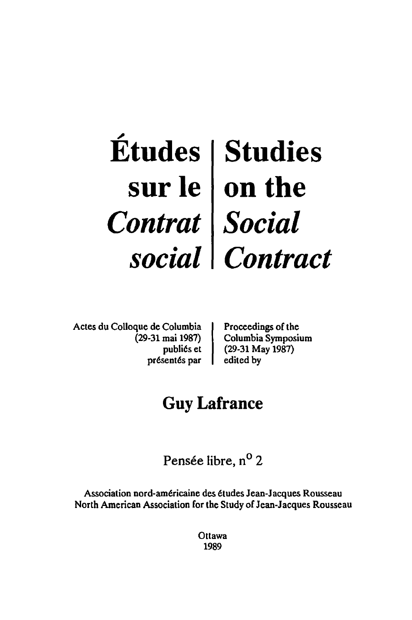## ~ **Etudes sur Ie**  *Contrat social*  **Studies on the**  *Social Contract*

Actes du CoUoque de Columbia (29-31 mai 1987) publi6s et pr6sent6s par

Proceedings of the Columbia Symposium (29-31 May 1987) edited by

# **Guy Lafrance**

Pensée libre, n<sup>o</sup> 2

Association nord-am6ricaine des etudes Jean-Jacques Rousseau North American Association for the Study of Jean-Jacques Rousseau

> **Ottawa** 1989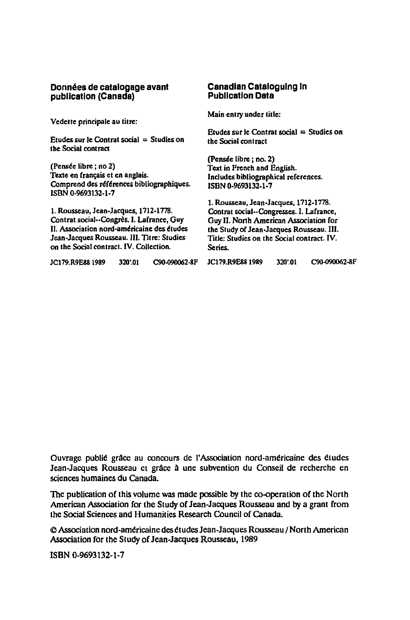#### **Donnees de catalogage avant publication (Canada)**

Vedette principale au titre:

Etudes sur le Contrat social  $=$  Studies on the Social contract

(Pensee libre ; no 2) Texte en français et en anglais. Comprend des références bibliographiques. ISBN 0·9693132·1·7

1. Rousseau, Jean·Jacques, 1712·1778. Contrat social··Congres. I. Lafrance, Guy II. Association nord-américaine des études Jean·Jacques Rousseau. III. Titre: Studies on the Social contract. IV. Collection.

#### **Canadian Cataloguing In Publication Data**

Main entry under title:

Etudes sur le Contrat social  $=$  Studies on the Social contmct

(Pensée libre ; no. 2) Text in Prench and English. Includes bibliographical references. ISBN 0·9693132·1·7

1. Rousseau, Jean.Jacques, 1712·1778. Contrat social··Congresses. I. Lafrance, Guy II. Nonh American Association for the Study or Jean.Jacques Rousseau. Ill. Title: Studies on the Social contract. IV. Series.

| JC179.R9E88 1989 | 320.01 | C90-090062-8F |
|------------------|--------|---------------|
|                  |        |               |

JCI79.R9E881989 320'.01 C90-090062·8F JC179.R9E88 1989 320'.01 C90-090062-8F

Ouvrage publié grâce au concours de l'Association nord-américaine des études Jean-Jacques Rousseau ct grâce à une subvention du Conseil de recherche en sciences bumaines du Canada.

The publication of this volume was made possible by the co-operation of the North American Association for the Study of Jean·Jacques Rousseau and by a grant from the Social Sciences and Humanities Research Council of Canada.

e Association nord-amtricainc des ttudes Jean.Jacques Rousseau / North American Association for the Study of Jean·Jacques Rousseau, 1989

ISBN 0·9693132·1·7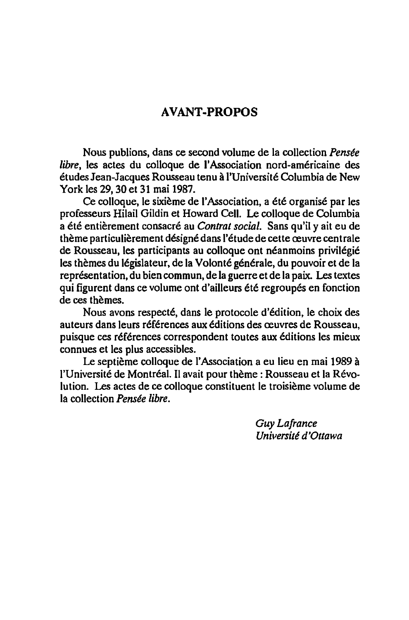### **AVANT-PROPOS**

Nous publions, dans ce second volume de la collection *Pensee libre*, les actes du colloque de l'Association nord-américaine des etudes Jean-Jacques Rousseau tenu a I'Universite Columbia de New York les 29, 30 et 31 mai 1987.

Ce colloque, le sixième de l'Association, a été organisé par les professeurs Hilail Gildin et Howard Cell. Le colloque de Columbia a ete entierement consacre au *Contrat social.* Sans qu'il y ait eu de thème particulièrement désigné dans l'étude de cette œuvre centrale de Rousseau, les participants au colloque ont néanmoins privilégié les thèmes du législateur, de la Volonté générale, du pouvoir et de la représentation, du bien commun, de la guerre et de la paix. Les textes qui figurent dans ce volume ont d'ailleurs été regroupés en fonction de ces themes.

Nous avons respecte, dans Ie protocole d'6dition, Ie choix des auteurs dans leurs références aux éditions des œuvres de Rousseau, puisque ces références correspondent toutes aux éditions les mieux connues et les plus accessibles.

Le septième colloque de l'Association a eu lieu en mai 1989 à l'Université de Montréal. Il avait pour thème : Rousseau et la Révolution. Les actes de ce colloque constituent Ie troisieme volume de la collection *Pensee libre.* 

> *Guy Lafrance Université d'Ottawa*